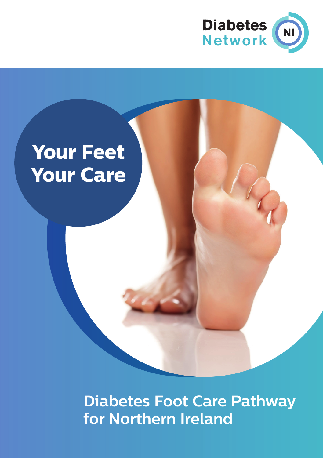

## **Your Feet Your Care**

**Diabetes Foot Care Pathway for Northern Ireland**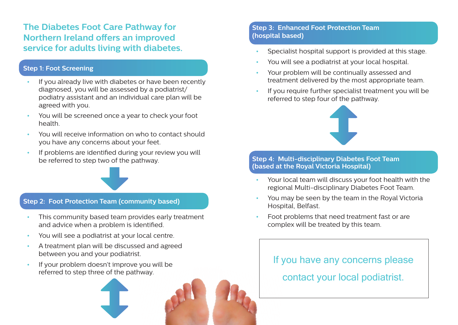**The Diabetes Foot Care Pathway for Northern Ireland offers an improved service for adults living with diabetes.** 

### **Step 1: Foot Screening**

- If you already live with diabetes or have been recently diagnosed, you will be assessed by a podiatrist/ podiatry assistant and an individual care plan will be agreed with you.
- You will be screened once a year to check your foot health.
- You will receive information on who to contact should you have any concerns about your feet.
- If problems are identified during your review you will be referred to step two of the pathway.

#### **Step 2: Foot Protection Team (community based)**

- This community based team provides early treatment and advice when a problem is identified.
- You will see a podiatrist at your local centre.
- A treatment plan will be discussed and agreed between you and your podiatrist.
- If your problem doesn't improve you will be referred to step three of the pathway.

### **Step 3: Enhanced Foot Protection Team (hospital based)**

- Specialist hospital support is provided at this stage.
- You will see a podiatrist at your local hospital.
- Your problem will be continually assessed and treatment delivered by the most appropriate team.
- If you require further specialist treatment you will be referred to step four of the pathway.



#### **Step 4: Multi-disciplinary Diabetes Foot Team (based at the Royal Victoria Hospital)**

- Your local team will discuss your foot health with the regional Multi-disciplinary Diabetes Foot Team.
- You may be seen by the team in the Royal Victoria Hospital, Belfast.
- Foot problems that need treatment fast or are complex will be treated by this team.

# If you have any concerns please

contact your local podiatrist.